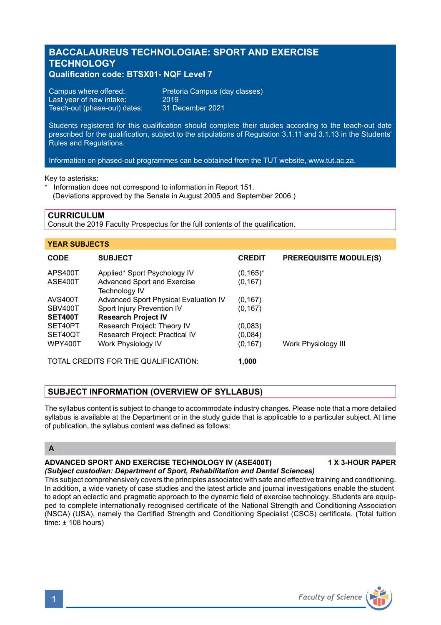# **BACCALAUREUS TECHNOLOGIAE: SPORT AND EXERCISE TECHNOLOGY**

## **Qualification code: BTSX01- NQF Level 7**

Campus where offered: Pretoria Campus (day classes) Last year of new intake: 2019<br>Teach-out (phase-out) dates: 31 December 2021 Teach-out (phase-out) dates:

Students registered for this qualification should complete their studies according to the teach-out date prescribed for the qualification, subject to the stipulations of Regulation 3.1.11 and 3.1.13 in the Students' Rules and Regulations.

Information on phased-out programmes can be obtained from the TUT website, www.tut.ac.za.

Key to asterisks:

\* Information does not correspond to information in Report 151. (Deviations approved by the Senate in August 2005 and September 2006.)

### **CURRICULUM**

Consult the 2019 Faculty Prospectus for the full contents of the qualification.

| <b>YEAR SUBJECTS</b>                 |                                                                                            |                          |                               |
|--------------------------------------|--------------------------------------------------------------------------------------------|--------------------------|-------------------------------|
| <b>CODE</b>                          | <b>SUBJECT</b>                                                                             | <b>CREDIT</b>            | <b>PREREQUISITE MODULE(S)</b> |
| APS400T<br>ASE400T                   | Applied* Sport Psychology IV<br><b>Advanced Sport and Exercise</b><br><b>Technology IV</b> | $(0, 165)^*$<br>(0, 167) |                               |
| <b>AVS400T</b>                       | Advanced Sport Physical Evaluation IV                                                      | (0, 167)                 |                               |
| SBV400T                              | Sport Injury Prevention IV                                                                 | (0, 167)                 |                               |
| <b>SET400T</b>                       | <b>Research Project IV</b>                                                                 |                          |                               |
| SET40PT                              | Research Project: Theory IV                                                                | (0,083)                  |                               |
| SET40QT                              | Research Project: Practical IV                                                             | (0,084)                  |                               |
| <b>WPY400T</b>                       | Work Physiology IV                                                                         | (0, 167)                 | Work Physiology III           |
| TOTAL CREDITS FOR THE QUALIFICATION: |                                                                                            | 1.000                    |                               |

# **SUBJECT INFORMATION (OVERVIEW OF SYLLABUS)**

The syllabus content is subject to change to accommodate industry changes. Please note that a more detailed syllabus is available at the Department or in the study guide that is applicable to a particular subject. At time of publication, the syllabus content was defined as follows:

## **A**

# **ADVANCED SPORT AND EXERCISE TECHNOLOGY IV (ASE400T) 1 X 3-HOUR PAPER**

*(Subject custodian: Department of Sport, Rehabilitation and Dental Sciences)*

This subject comprehensively covers the principles associated with safe and effective training and conditioning. In addition, a wide variety of case studies and the latest article and journal investigations enable the student to adopt an eclectic and pragmatic approach to the dynamic field of exercise technology. Students are equipped to complete internationally recognised certificate of the National Strength and Conditioning Association (NSCA) (USA), namely the Certified Strength and Conditioning Specialist (CSCS) certificate. (Total tuition  $time: + 108$  hours)